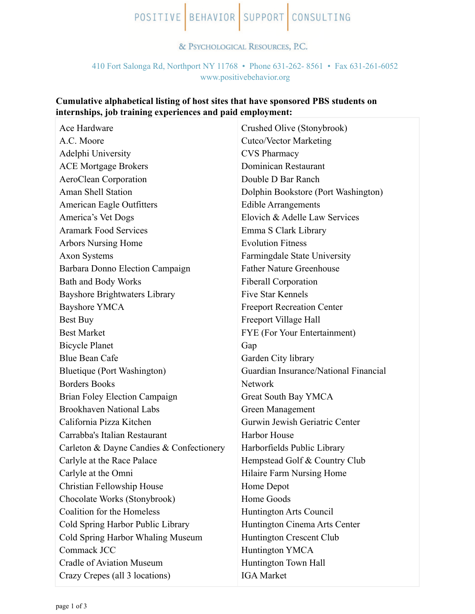# POSITIVE BEHAVIOR SUPPORT CONSULTING

#### & PSYCHOLOGICAL RESOURCES, P.C.

## 410 Fort Salonga Rd, Northport NY 11768 • Phone 631-262- 8561 • Fax 631-261-6052 [www.positivebehavior.org](http://www.positivebehavior.org)

## **Cumulative alphabetical listing of host sites that have sponsored PBS students on internships, job training experiences and paid employment:**

| Ace Hardware                             | Crushed Olive (Stonybrook)            |
|------------------------------------------|---------------------------------------|
| A.C. Moore                               | <b>Cutco/Vector Marketing</b>         |
| Adelphi University                       | <b>CVS Pharmacy</b>                   |
| <b>ACE Mortgage Brokers</b>              | Dominican Restaurant                  |
| AeroClean Corporation                    | Double D Bar Ranch                    |
| Aman Shell Station                       | Dolphin Bookstore (Port Washington)   |
| American Eagle Outfitters                | <b>Edible Arrangements</b>            |
| America's Vet Dogs                       | Elovich & Adelle Law Services         |
| <b>Aramark Food Services</b>             | Emma S Clark Library                  |
| <b>Arbors Nursing Home</b>               | <b>Evolution Fitness</b>              |
| <b>Axon Systems</b>                      | Farmingdale State University          |
| Barbara Donno Election Campaign          | <b>Father Nature Greenhouse</b>       |
| <b>Bath and Body Works</b>               | <b>Fiberall Corporation</b>           |
| <b>Bayshore Brightwaters Library</b>     | <b>Five Star Kennels</b>              |
| <b>Bayshore YMCA</b>                     | <b>Freeport Recreation Center</b>     |
| Best Buy                                 | Freeport Village Hall                 |
| <b>Best Market</b>                       | FYE (For Your Entertainment)          |
| <b>Bicycle Planet</b>                    | Gap                                   |
| <b>Blue Bean Cafe</b>                    | Garden City library                   |
| Bluetique (Port Washington)              | Guardian Insurance/National Financial |
| <b>Borders Books</b>                     | Network                               |
| Brian Foley Election Campaign            | Great South Bay YMCA                  |
| <b>Brookhaven National Labs</b>          | Green Management                      |
| California Pizza Kitchen                 | Gurwin Jewish Geriatric Center        |
| Carrabba's Italian Restaurant            | Harbor House                          |
| Carleton & Dayne Candies & Confectionery | Harborfields Public Library           |
| Carlyle at the Race Palace               | Hempstead Golf & Country Club         |
| Carlyle at the Omni                      | Hilaire Farm Nursing Home             |
| Christian Fellowship House               | Home Depot                            |
| Chocolate Works (Stonybrook)             | Home Goods                            |
| Coalition for the Homeless               | Huntington Arts Council               |
| Cold Spring Harbor Public Library        | Huntington Cinema Arts Center         |
| Cold Spring Harbor Whaling Museum        | Huntington Crescent Club              |
| Commack JCC                              | <b>Huntington YMCA</b>                |
| <b>Cradle of Aviation Museum</b>         | Huntington Town Hall                  |
| Crazy Crepes (all 3 locations)           | <b>IGA</b> Market                     |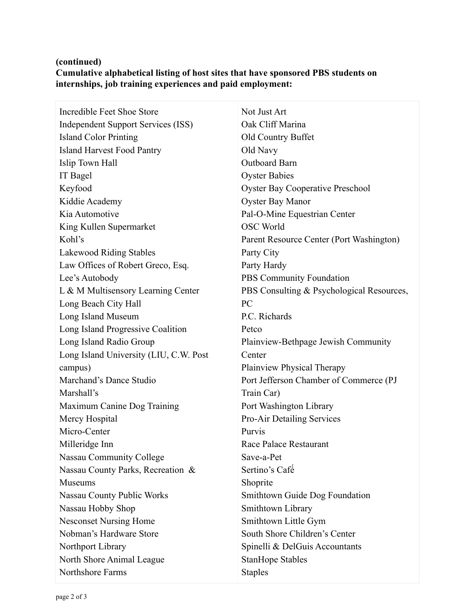## **(continued) Cumulative alphabetical listing of host sites that have sponsored PBS students on internships, job training experiences and paid employment:**

| Incredible Feet Shoe Store                | Not Just Art                              |
|-------------------------------------------|-------------------------------------------|
| <b>Independent Support Services (ISS)</b> | Oak Cliff Marina                          |
| <b>Island Color Printing</b>              | Old Country Buffet                        |
| <b>Island Harvest Food Pantry</b>         | Old Navy                                  |
| Islip Town Hall                           | <b>Outboard Barn</b>                      |
| IT Bagel                                  | <b>Oyster Babies</b>                      |
| Keyfood                                   | <b>Oyster Bay Cooperative Preschool</b>   |
| Kiddie Academy                            | <b>Oyster Bay Manor</b>                   |
| Kia Automotive                            | Pal-O-Mine Equestrian Center              |
| King Kullen Supermarket                   | <b>OSC World</b>                          |
| Kohl's                                    | Parent Resource Center (Port Washington)  |
| Lakewood Riding Stables                   | Party City                                |
| Law Offices of Robert Greco, Esq.         | Party Hardy                               |
| Lee's Autobody                            | PBS Community Foundation                  |
| L & M Multisensory Learning Center        | PBS Consulting & Psychological Resources, |
| Long Beach City Hall                      | PC                                        |
| Long Island Museum                        | P.C. Richards                             |
| Long Island Progressive Coalition         | Petco                                     |
| Long Island Radio Group                   | Plainview-Bethpage Jewish Community       |
| Long Island University (LIU, C.W. Post    | Center                                    |
| campus)                                   | <b>Plainview Physical Therapy</b>         |
| Marchand's Dance Studio                   | Port Jefferson Chamber of Commerce (PJ    |
| Marshall's                                | Train Car)                                |
| Maximum Canine Dog Training               | Port Washington Library                   |
| Mercy Hospital                            | <b>Pro-Air Detailing Services</b>         |
| Micro-Center                              | Purvis                                    |
| Milleridge Inn                            | Race Palace Restaurant                    |
| <b>Nassau Community College</b>           | Save-a-Pet                                |
| Nassau County Parks, Recreation &         | Sertino's Café                            |
| Museums                                   | Shoprite                                  |
| <b>Nassau County Public Works</b>         | Smithtown Guide Dog Foundation            |
| Nassau Hobby Shop                         | Smithtown Library                         |
| <b>Nesconset Nursing Home</b>             | Smithtown Little Gym                      |
| Nobman's Hardware Store                   | South Shore Children's Center             |
| Northport Library                         | Spinelli & DelGuis Accountants            |
| North Shore Animal League                 | <b>StanHope Stables</b>                   |
| Northshore Farms                          | <b>Staples</b>                            |